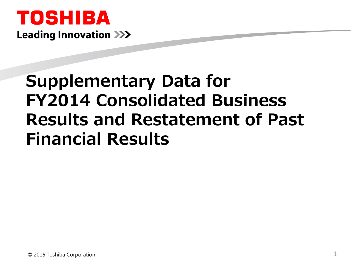## TOSHIBA **Leading Innovation >>>**

# **Supplementary Data for FY2014 Consolidated Business Results and Restatement of Past Financial Results**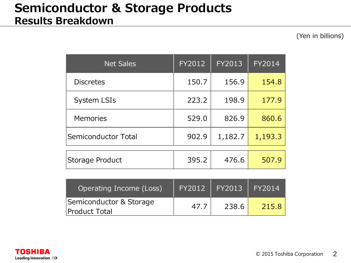#### **Semiconductor & Storage Products Results Breakdown**

| <b>Net Sales</b>    | FY2012 | FY2013  | FY2014  |
|---------------------|--------|---------|---------|
| <b>Discretes</b>    | 150.7  | 156.9   | 154.8   |
| <b>System LSIs</b>  | 223.2  | 198.9   | 177.9   |
| <b>Memories</b>     | 529.0  | 826.9   | 860.6   |
| Semiconductor Total | 902.9  | 1,182.7 | 1,193.3 |
| Storage Product     | 395.2  | 476.6   | 507.9   |

| Operating Income (Loss)                  | <b>FY2012</b> | FY2013 | $\sqrt{1}$ FY2014 |
|------------------------------------------|---------------|--------|-------------------|
| Semiconductor & Storage<br>Product Total | 47.7          | 238.6  | 215.8             |

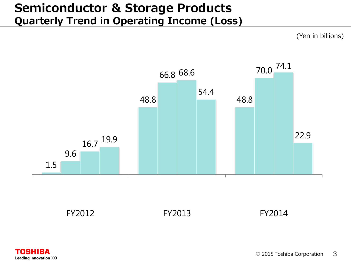#### **Semiconductor & Storage Products Quarterly Trend in Operating Income (Loss)**

(Yen in billions)



FY2012 FY2013 FY2014

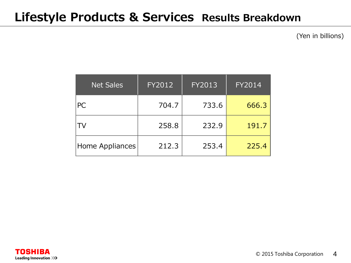#### **Lifestyle Products & Services Results Breakdown**

| <b>Net Sales</b> | FY2012 | FY2013 | <b>FY2014</b> |
|------------------|--------|--------|---------------|
| <b>PC</b>        | 704.7  | 733.6  | 666.3         |
| TV               | 258.8  | 232.9  | 191.7         |
| Home Appliances  | 212.3  | 253.4  | 225.4         |

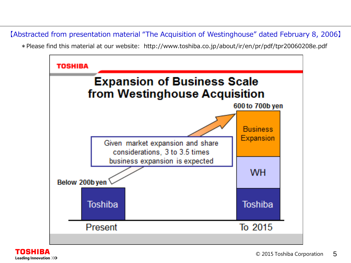【Abstracted from presentation material "The Acquisition of Westinghouse" dated February 8, 2006】

\*Please find this material at our website: http://www.toshiba.co.jp/about/ir/en/pr/pdf/tpr20060208e.pdf



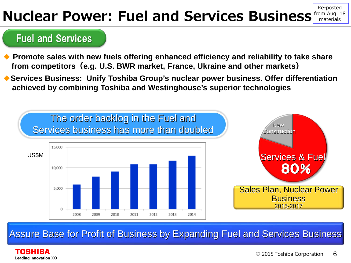#### **Nuclear Power: Fuel and Services Business** from Aug. 18 Re-posted materials

#### Fuel and Services

- ◆ **Promote sales with new fuels offering enhanced efficiency and reliability to take share from competitors(e.g. U.S. BWR market, France, Ukraine and other markets)**
- ◆ Services Business: Unify Toshiba Group's nuclear power business. Offer differentiation **achieved by combining Toshiba and Westinghouse's superior technologies**



Assure Base for Profit of Business by Expanding Fuel and Services Business

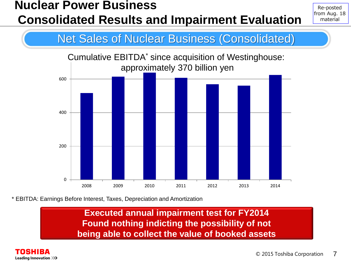### **Nuclear Power Business Consolidated Results and Impairment Evaluation**

Re-posted from Aug. 18 material

#### Net Sales of Nuclear Business (Consolidated)



\* EBITDA: Earnings Before Interest, Taxes, Depreciation and Amortization

**Executed annual impairment test for FY2014 Found nothing indicting the possibility of not being able to collect the value of booked assets** 

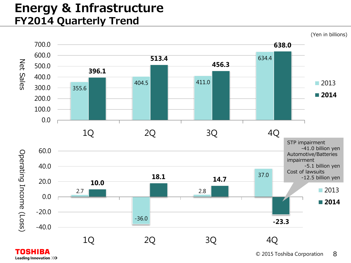#### **Energy & Infrastructure FY2014 Quarterly Trend**



Leading Innovation >>>

© 2015 Toshiba Corporation 8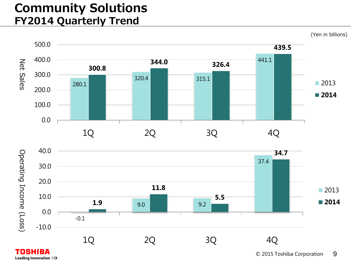#### **Community Solutions FY2014 Quarterly Trend**



Leading Innovation >>>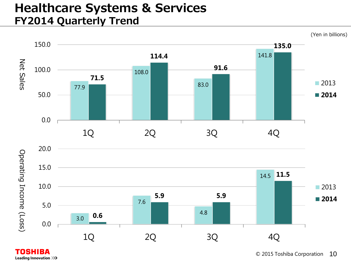#### **Healthcare Systems & Services FY2014 Quarterly Trend**



**TOSHIBA** Leading Innovation >>>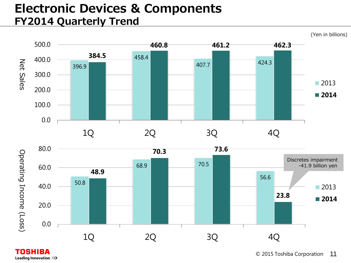#### **Electronic Devices & Components FY2014 Quarterly Trend**



1Q 2Q 3Q 4Q

**TOSHIBA** Leading Innovation >>>

0.0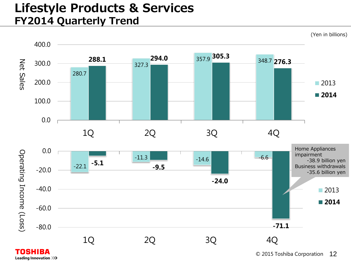#### **Lifestyle Products & Services FY2014 Quarterly Trend**



Leading Innovation >>>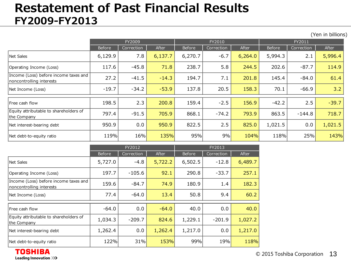#### **Restatement of Past Financial Results FY2009-FY2013**

(Yen in billions)

|                                                                   | FY2009  |            |         |         | FY2010     |         | FY2011  |            |         |
|-------------------------------------------------------------------|---------|------------|---------|---------|------------|---------|---------|------------|---------|
|                                                                   | Before  | Correction | After   | Before  | Correction | After   | Before  | Correction | After   |
| Net Sales                                                         | 6,129.9 | 7.8        | 6,137.7 | 6,270.7 | $-6.7$     | 6,264.0 | 5,994.3 | 2.1        | 5,996.4 |
| Operating Income (Loss)                                           | 117.6   | $-45.8$    | 71.8    | 238.7   | 5.8        | 244.5   | 202.6   | $-87.7$    | 114.9   |
| Income (Loss) before income taxes and<br>noncontrolling interests | 27.2    | $-41.5$    | $-14.3$ | 194.7   | 7.1        | 201.8   | 145.4   | $-84.0$    | 61.4    |
| Net Income (Loss)                                                 | $-19.7$ | $-34.2$    | $-53.9$ | 137.8   | 20.5       | 158.3   | 70.1    | $-66.9$    | 3.2     |
| <b>IFree cash flow</b>                                            | 198.5   | 2.3        | 200.8   | 159.4   | $-2.5$     | 156.9   | $-42.2$ | 2.5        | $-39.7$ |
| Equity attributable to shareholders of<br>the Company             | 797.4   | $-91.5$    | 705.9   | 868.1   | $-74.2$    | 793.9   | 863.5   | $-144.8$   | 718.7   |
| Net interest-bearing debt                                         | 950.9   | 0.0        | 950.9   | 822.5   | 2.5        | 825.0   | 1,021.5 | 0.0        | 1,021.5 |
| Net debt-to-equity ratio                                          | 119%    | 16%        | 135%    | 95%     | 9%         | 104%    | 118%    | 25%        | 143%    |

|                                                                   |               | FY2012     |         | FY2013        |            |         |  |
|-------------------------------------------------------------------|---------------|------------|---------|---------------|------------|---------|--|
|                                                                   | <b>Before</b> | Correction | After   | <b>Before</b> | Correction | After   |  |
| Net Sales                                                         | 5,727.0       | $-4.8$     | 5,722.2 | 6,502.5       | $-12.8$    | 6,489.7 |  |
| Operating Income (Loss)                                           | 197.7         | $-105.6$   | 92.1    | 290.8         | $-33.7$    | 257.1   |  |
| Income (Loss) before income taxes and<br>noncontrolling interests | 159.6         | $-84.7$    | 74.9    | 180.9         | 1.4        | 182.3   |  |
| Net Income (Loss)                                                 | 77.4          | $-64.0$    | 13.4    | 50.8          | 9.4        | 60.2    |  |
| Free cash flow                                                    | $-64.0$       | 0.0        | $-64.0$ | 40.0          | 0.0        | 40.0    |  |
| Equity attributable to shareholders of<br>the Company             | 1,034.3       | $-209.7$   | 824.6   | 1,229.1       | $-201.9$   | 1,027.2 |  |
| Net interest-bearing debt                                         | 1,262.4       | 0.0        | 1,262.4 | 1,217.0       | 0.0        | 1,217.0 |  |
| Net debt-to-equity ratio                                          | 122%          | 31%        | 153%    | 99%           | 19%        | 118%    |  |

**TOSHIBA Leading Innovation >>>**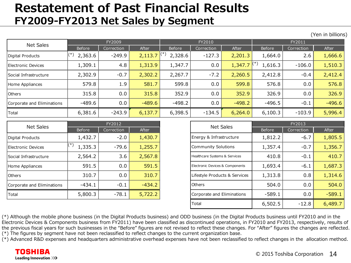#### **Restatement of Past Financial Results FY2009-FY2013 Net Sales by Segment**

Before | Correction | After | Before | Correction | After | Before | Correction | After Digital Products |<sup>(\*)</sup> 2,363.6 | -249.9 | 2,113.7 |<sup>(\* /</sup> 2,328.6 | -127.3 | 2,201.3 | 1,664.0 | 2.6 | 1,<mark>666.6</mark> Electronic Devices | 1,309.1 | 4.8 | 1,313.9 | 1,347.7 | 0.0 | 1,347.7 |<sup>、</sup> / 1,616.3 | -106.0 | 1,510.3 Social Infrastructure | 2,302.9 | -0.7 | 2,302.2 | 2,267.7 | -7.2 | 2,260.5 | 2,412.8 | -0.4 | 2,412.4 Home Appliances | 579.8 | 1.9 | 581.7 | 599.8 | 0.0 | 599.8 | 576.8 | 0.0 | 576.8 Others | 315.8 | 0.0 | 315.8 | 352.9 | 0.0 | 326.9 | 0.0 | 326.9 Corporate and Eliminations | -489.6 | 0.0 | -489.6 | -498.2 | -496.7 | -496.6 | -496.6 | -496.6 Total | 6,381.6 | -243.9 <mark>| 6,137.7 |</mark> 6,398.5 | -134.5 <mark>| 6,264.0 |</mark> 6,100.3 | -103.9 | <mark>5,996.4</mark> FY2011 Net Sales FY2009 FY2010  $\left| \begin{matrix} (*) & 2,363.6 \end{matrix} \right|$  -249.9  $\left| \begin{matrix} 2,113.7 \end{matrix} \right|$ (\*)

|                            |                     | FY2012     |              |                           |                  |
|----------------------------|---------------------|------------|--------------|---------------------------|------------------|
| Net Sales                  | Before              | Correction | <b>After</b> |                           | <b>Net Sales</b> |
| Digital Products           | 1,432.7             | $-2.0$     | 1,430.7      | Energy & Infrastruct      |                  |
| Electronic Devices         | $^{(*)}$<br>1,335.3 | -79.6      | 1,255.7      | <b>Community Solution</b> |                  |
| Social Infrastructure      | 2,564.2             | 3.6        | 2,567.8      | Healthcare Systems & Ser  |                  |
| Home Appliances            | 591.5               | 0.0        | 591.5        | Electronic Devices & Com  |                  |
| <b>Others</b>              | 310.7               | 0.0        | 310.7        | Lifestyle Products &      |                  |
| Corporate and Eliminations | $-434.1$            | $-0.1$     | $-434.2$     | Others                    |                  |
| <b>Total</b>               | 5,800.3             | $-78.1$    | 5,722.2      | Corporate and Elimir      |                  |

| <b>Net Sales</b>           | FY2012   |            |              |
|----------------------------|----------|------------|--------------|
|                            | Before   | Correction | <b>After</b> |
| Digital Products           | 1,432.7  | $-2.0$     | 1,430.7      |
| Electronic Devices         | 1,335.3  | $-79.6$    | 1,255.7      |
| Social Infrastructure      | 2,564.2  | 3.6        | 2,567.8      |
| Home Appliances            | 591.5    | 0.0        | 591.5        |
| <b>Others</b>              | 310.7    | 0.0        | 310.7        |
| Corporate and Eliminations | $-434.1$ | $-0.1$     | $-434.2$     |
| Total                      | 5,800.3  | $-78.1$    | 5,722.2      |
|                            |          |            |              |
|                            |          |            |              |

(\*) Although the mobile phone business (in the Digital Products business) and ODD business (in the Digital Products business until FY2010 and in the Electronic Devices & Components business from FY2011) have been classified as discontinued operations, in FY2010 and FY2013, respectively, results of the previous fiscal years for such businesses in the "Before" figures are not revised to reflect these changes. For "After" figures the changes are reflected. (\*) The figures by segment have not been reclassified to reflect changes to the current organization base.

(\*) Advanced R&D expenses and headquarters administrative overhead expenses have not been reclassified to reflect changes in the allocation method.

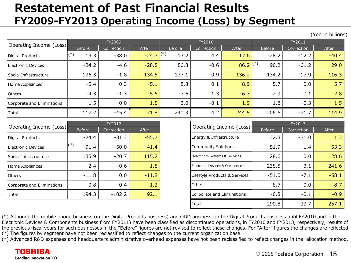#### **Restatement of Past Financial Results FY2009-FY2013 Operating Income (Loss) by Segment**

|                            |             |            |              |        |            |            |               |            | (Yen in billions) |  |
|----------------------------|-------------|------------|--------------|--------|------------|------------|---------------|------------|-------------------|--|
| Operating Income (Loss)    |             | FY2009     |              |        | FY2010     |            |               | FY2011     |                   |  |
|                            | Before      | Correction | <b>After</b> | Before | Correction | After      | <b>Before</b> | Correction | After             |  |
| Digital Products           | (*`<br>13.3 | $-38.0$    | $-24.7$ (*)  | 13.2   | 4.4        | 17.6       | $-28.2$       | $-12.2$    | $-40.4$           |  |
| Electronic Devices         | $-24.2$     | $-4.6$     | $-28.8$      | 86.8   | $-0.6$     | $86.2$ (*) | 90.2          | $-61.2$    | 29.0              |  |
| Social Infrastructure      | 136.3       | $-1.8$     | 134.5        | 137.1  | $-0.9$     | 136.2      | 134.2         | $-17.9$    | 116.3             |  |
| Home Appliances            | $-5.4$      | 0.3        | $-5.1$       | 8.8    | 0.1        | 8.9        | 5.7           | 0.0        | 5.7               |  |
| <b>Others</b>              | $-4.3$      | $-1.3$     | $-5.6$       | $-7.6$ | 1.3        | $-6.3$     | 2.9           | $-0.1$     | 2.8               |  |
| Corporate and Eliminations | 1.5         | 0.0        | 1.5          | 2.0    | $-0.1$     | 1.9        | 1.8           | $-0.3$     | 1.5               |  |
| Total                      | 117.2       | $-45.4$    | 71.8         | 240.3  | 4.2        | 244.5      | 206.6         | $-91.7$    | 114.9             |  |

|                              |             | FY2012     |         |                                 |
|------------------------------|-------------|------------|---------|---------------------------------|
| Operating Income (Loss)      | Before      | Correction | After   | Operating Income (Loss)         |
| Digital Products             | $-24.4$     | $-31.3$    | $-55.7$ | Energy & Infrastructure         |
| Electronic Devices           | (*)<br>91.4 | $-50.0$    | 41.4    | <b>Community Solutions</b>      |
| <b>Social Infrastructure</b> | 135.9       | $-20.7$    | 115.2   | Healthcare Systems & Services   |
| Home Appliances              | 2.4         | $-0.6$     | 1.8     | Electronic Devices & Components |
| Others                       | $-11.8$     | 0.0        | $-11.8$ | Lifestyle Products & Services   |
| Corporate and Eliminations   | 0.8         | 0.4        | 1.2     | Others                          |
| Total                        | 194.3       | $-102.2$   | 92.1    | Corporate and Eliminations      |

| Operating Income (Loss)              | FY2012  |          | Operating Income (Loss) | FY2013                          |            |         |
|--------------------------------------|---------|----------|-------------------------|---------------------------------|------------|---------|
| <b>After</b><br>Before<br>Correction |         |          |                         |                                 | Correction |         |
| Digital Products                     | $-24.4$ | $-31.3$  | $-55.7$                 | Energy & Infrastructure         | 32.3       | $-31.0$ |
| Electronic Devices                   | 91.4    | $-50.0$  | 41.4                    | <b>Community Solutions</b>      | 51.9       | 1.4     |
| Social Infrastructure                | 135.9   | $-20.7$  | 115.2                   | Healthcare Systems & Services   | 28.6       | 0.0     |
| Home Appliances                      | 2.4     | $-0.6$   | 1.8                     | Electronic Devices & Components | 238.5      | 3.1     |
| <b>Others</b>                        | $-11.8$ | 0.0      | $-11.8$                 | Lifestyle Products & Services   | $-51.0$    | $-7.1$  |
| Corporate and Eliminations           | 0.8     | 0.4      | 1.2                     | <b>Others</b>                   | $-8.7$     | 0.0     |
| Total                                | 194.3   | $-102.2$ | 92.1                    | Corporate and Eliminations      | $-0.8$     | $-0.1$  |
|                                      |         |          |                         | Total                           | 290.8      | $-33.7$ |
|                                      |         |          |                         |                                 |            |         |

(\*) Although the mobile phone business (in the Digital Products business) and ODD business (in the Digital Products business until FY2010 and in the Electronic Devices & Components business from FY2011) have been classified as discontinued operations, in FY2010 and FY2013, respectively, results of the previous fiscal years for such businesses in the "Before" figures are not revised to reflect these changes. For "After" figures the changes are reflected. (\*) The figures by segment have not been reclassified to reflect changes to the current organization base.

(\*) Advanced R&D expenses and headquarters administrative overhead expenses have not been reclassified to reflect changes in the allocation method.